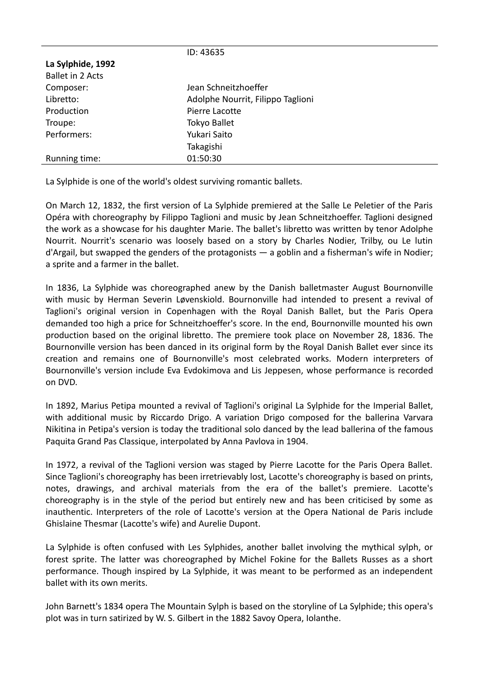|                         | ID: 43635                         |
|-------------------------|-----------------------------------|
| La Sylphide, 1992       |                                   |
| <b>Ballet in 2 Acts</b> |                                   |
| Composer:               | Jean Schneitzhoeffer              |
| Libretto:               | Adolphe Nourrit, Filippo Taglioni |
| Production              | Pierre Lacotte                    |
| Troupe:                 | <b>Tokyo Ballet</b>               |
| Performers:             | Yukari Saito                      |
|                         | Takagishi                         |
| Running time:           | 01:50:30                          |

La Sylphide is one of the world's oldest surviving romantic ballets.

On March 12, 1832, the first version of La Sylphide premiered at the Salle Le Peletier of the Paris Opéra with choreography by Filippo Taglioni and music by Jean Schneitzhoeffer. Taglioni designed the work as a showcase for his daughter Marie. The ballet's libretto was written by tenor Adolphe Nourrit. Nourrit's scenario was loosely based on a story by Charles Nodier, Trilby, ou Le lutin d'Argail, but swapped the genders of the protagonists — a goblin and a fisherman's wife in Nodier; a sprite and a farmer in the ballet.

In 1836, La Sylphide was choreographed anew by the Danish balletmaster August Bournonville with music by Herman Severin Løvenskiold. Bournonville had intended to present a revival of Taglioni's original version in Copenhagen with the Royal Danish Ballet, but the Paris Opera demanded too high a price for Schneitzhoeffer's score. In the end, Bournonville mounted his own production based on the original libretto. The premiere took place on November 28, 1836. The Bournonville version has been danced in its original form by the Royal Danish Ballet ever since its creation and remains one of Bournonville's most celebrated works. Modern interpreters of Bournonville's version include Eva Evdokimova and Lis Jeppesen, whose performance is recorded on DVD.

In 1892, Marius Petipa mounted a revival of Taglioni's original La Sylphide for the Imperial Ballet, with additional music by Riccardo Drigo. A variation Drigo composed for the ballerina Varvara Nikitina in Petipa's version is today the traditional solo danced by the lead ballerina of the famous Paquita Grand Pas Classique, interpolated by Anna Pavlova in 1904.

In 1972, a revival of the Taglioni version was staged by Pierre Lacotte for the Paris Opera Ballet. Since Taglioni's choreography has been irretrievably lost, Lacotte's choreography is based on prints, notes, drawings, and archival materials from the era of the ballet's premiere. Lacotte's choreography is in the style of the period but entirely new and has been criticised by some as inauthentic. Interpreters of the role of Lacotte's version at the Opera National de Paris include Ghislaine Thesmar (Lacotte's wife) and Aurelie Dupont.

La Sylphide is often confused with Les Sylphides, another ballet involving the mythical sylph, or forest sprite. The latter was choreographed by Michel Fokine for the Ballets Russes as a short performance. Though inspired by La Sylphide, it was meant to be performed as an independent ballet with its own merits.

John Barnett's 1834 opera The Mountain Sylph is based on the storyline of La Sylphide; this opera's plot was in turn satirized by W. S. Gilbert in the 1882 Savoy Opera, Iolanthe.